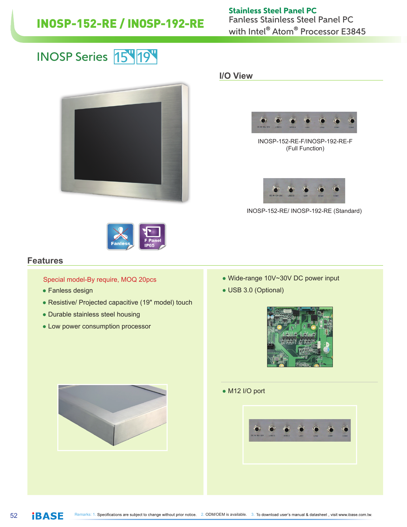## INOSP-152-RE / INOSP-192-RE Fanless Stainless Steel Panel PC

with Intel<sup>®</sup> Atom<sup>®</sup> Processor E3845 Stainless Steel Panel PC

### 44<br>|-<br>|-INOSP Series <mark>15 19</mark> 10



#### **I/O View**



INOSP-152-RE-F/INOSP-192-RE-F (Full Function)



INOSP-152-RE/ INOSP-192-RE (Standard)



#### **Features**

Special model-By require, MOQ 20pcs

- Fanless design
- Resistive/ Projected capacitive (19" model) touch
- Durable stainless steel housing
- Low power consumption processor
- Wide-range 10V~30V DC power input
- USB 3.0 (Optional)



● M12 I/O port



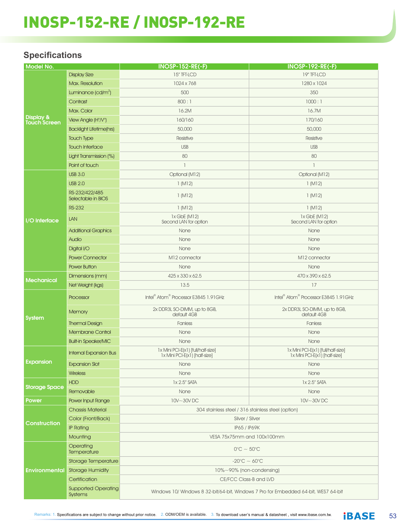# INOSP-152-RE / INOSP-192-RE

### **Specifications**

| <b>Model No.</b>                            |                                       | <b>INOSP-152-RE(-F)</b>                                                             | <b>INOSP-192-RE(-F)</b>                                             |
|---------------------------------------------|---------------------------------------|-------------------------------------------------------------------------------------|---------------------------------------------------------------------|
|                                             | <b>Display Size</b>                   | 15" TFT-LCD                                                                         | 19" TFT-LCD                                                         |
| <b>Display &amp;</b><br><b>Touch Screen</b> | Max. Resolution                       | 1024 x 768                                                                          | 1280 x 1024                                                         |
|                                             | Luminance (cd/m <sup>2</sup> )        | 500                                                                                 | 350                                                                 |
|                                             | Contrast                              | 800:1                                                                               | 1000:1                                                              |
|                                             | Max. Color                            | 16.2M                                                                               | 16.7M                                                               |
|                                             | View Angle (H°/V°)                    | 160/160                                                                             | 170/160                                                             |
|                                             | <b>Backlight Lifetime(hrs)</b>        | 50,000                                                                              | 50,000                                                              |
|                                             | <b>Touch Type</b>                     | Resistive                                                                           | Resistive                                                           |
|                                             | <b>Touch Interface</b>                | <b>USB</b>                                                                          | <b>USB</b>                                                          |
|                                             | Light Transmission (%)                | 80                                                                                  | 80                                                                  |
|                                             | Point of touch                        | $\mathbb{I}$                                                                        | $\overline{1}$                                                      |
|                                             |                                       |                                                                                     |                                                                     |
| I/O Interface                               | <b>USB 3.0</b>                        | Optional (M12)                                                                      | Optional (M12)                                                      |
|                                             | <b>USB 2.0</b>                        | 1(M12)                                                                              | 1(M12)                                                              |
|                                             | RS-232/422/485<br>Selectable in BIOS  | 1(M12)                                                                              | 1(M12)                                                              |
|                                             | <b>RS-232</b>                         | 1(M12)                                                                              | 1(M12)                                                              |
|                                             | LAN                                   | $1x$ GbE (M $12$ )<br>Second LAN for option                                         | $1x$ GbE (M $12$ )<br>Second LAN for option                         |
|                                             | <b>Additional Graphics</b>            | None                                                                                | None                                                                |
|                                             | Audio                                 | None                                                                                | None                                                                |
|                                             | Digital I/O                           | None                                                                                | None                                                                |
|                                             | <b>Power Connector</b>                | M12 connector                                                                       | M12 connector                                                       |
|                                             | <b>Power Button</b>                   | None                                                                                | None                                                                |
| Mechanical                                  | Dimensions (mm)                       | 425 x 330 x 62.5                                                                    | 470 x 390 x 62.5                                                    |
|                                             | Net Weight (kgs)                      | 13.5                                                                                | 17                                                                  |
| <b>System</b>                               | Processor                             | Intel <sup>®</sup> Atom <sup>®</sup> Processor E3845 1.91GHz                        | Intel® Atom® Processor E3845 1.91GHz                                |
|                                             | Memory                                | 2x DDR3L SO-DIMM, up to 8GB,<br>default 4GB                                         | 2x DDR3L SO-DIMM, up to 8GB,<br>default 4GB                         |
|                                             | <b>Thermal Design</b>                 | Fanless                                                                             | Fanless                                                             |
|                                             | <b>Membrane Control</b>               | None                                                                                | None                                                                |
|                                             | <b>Built-in Speaker/MIC</b>           | None                                                                                | None                                                                |
| Expansion                                   | Internal Expansion Bus                | 1x Mini PCI-E(x1) [full/half-size]<br>1x Mini PCI-E(x1) [half-size]                 | 1x Mini PCI-E(x1) [full/half-size]<br>1x Mini PCI-E(x1) [half-size] |
|                                             | <b>Expansion Slot</b>                 | None                                                                                | None                                                                |
|                                             | <b>Wireless</b>                       | None                                                                                | None                                                                |
| <b>Storage Space</b>                        | <b>HDD</b>                            | 1x 2.5" SATA                                                                        | 1x 2.5" SATA                                                        |
|                                             | Removable                             | None                                                                                | None                                                                |
| <b>Power</b>                                | Power Input Range                     | 10V~30VDC                                                                           | 10V~30VDC                                                           |
| Construction                                | <b>Chassis Material</b>               | 304 stainless steel / 316 stainless steel (option)                                  |                                                                     |
|                                             | Color (Front/Back)                    | Silver / Silver                                                                     |                                                                     |
|                                             | <b>IP Rating</b>                      | IP65 / IP69K                                                                        |                                                                     |
|                                             | Mounting                              | VESA 75x75mm and 100x100mm                                                          |                                                                     |
| Environmental                               | Operating                             |                                                                                     |                                                                     |
|                                             | Temperature                           | $0^{\circ}$ C ~ 50 $^{\circ}$ C                                                     |                                                                     |
|                                             | Storage Temperature                   | $-20^{\circ}$ C ~ 60 $^{\circ}$ C                                                   |                                                                     |
|                                             | <b>Storage Humidity</b>               | 10%~90% (non-condensing)                                                            |                                                                     |
|                                             | Certification                         | CE/FCC Class-B and LVD                                                              |                                                                     |
|                                             | <b>Supported Operating</b><br>Systems | Windows 10/ Windows 8 32-bit/64-bit, Windows 7 Pro for Embedded 64-bit, WES7 64-bit |                                                                     |